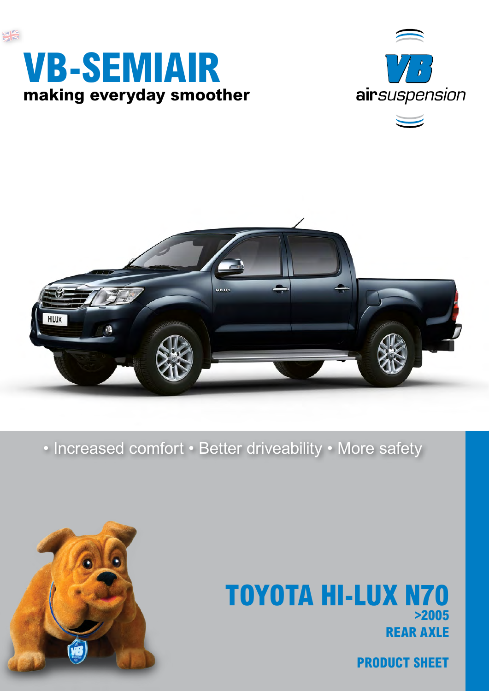







• Increased comfort • Better driveability • More safety



## **rear axle TOYOTA HI-LUX N70 >2005**

**product sheet**